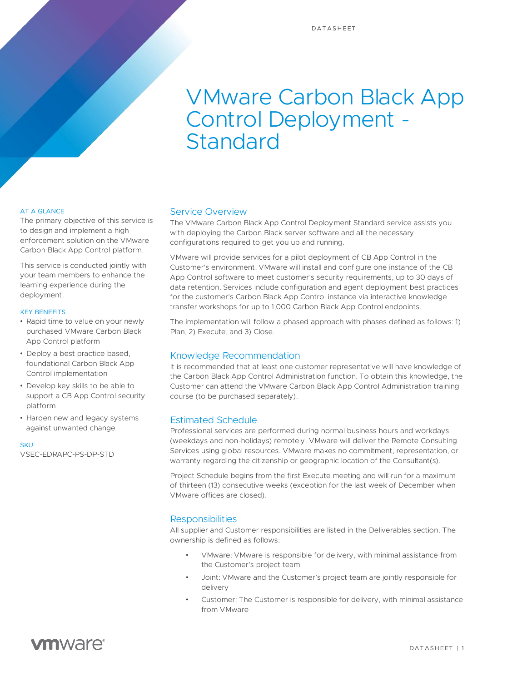# VMware Carbon Black App Control Deployment - Standard

#### AT A GLANCE

The primary objective of this service is to design and implement a high enforcement solution on the VMware Carbon Black App Control platform.

This service is conducted jointly with your team members to enhance the learning experience during the deployment.

#### KEY BENEFITS

- Rapid time to value on your newly purchased VMware Carbon Black App Control platform
- Deploy a best practice based, foundational Carbon Black App Control implementation
- Develop key skills to be able to support a CB App Control security platform
- Harden new and legacy systems against unwanted change

**SKU** VSEC-EDRAPC-PS-DP-STD

#### Service Overview

The VMware Carbon Black App Control Deployment Standard service assists you with deploying the Carbon Black server software and all the necessary configurations required to get you up and running.

VMware will provide services for a pilot deployment of CB App Control in the Customer's environment. VMware will install and configure one instance of the CB App Control software to meet customer's security requirements, up to 30 days of data retention. Services include configuration and agent deployment best practices for the customer's Carbon Black App Control instance via interactive knowledge transfer workshops for up to 1,000 Carbon Black App Control endpoints.

The implementation will follow a phased approach with phases defined as follows: 1) Plan, 2) Execute, and 3) Close.

#### Knowledge Recommendation

It is recommended that at least one customer representative will have knowledge of the Carbon Black App Control Administration function. To obtain this knowledge, the Customer can attend the VMware Carbon Black App Control Administration training course (to be purchased separately).

#### Estimated Schedule

Professional services are performed during normal business hours and workdays (weekdays and non-holidays) remotely. VMware will deliver the Remote Consulting Services using global resources. VMware makes no commitment, representation, or warranty regarding the citizenship or geographic location of the Consultant(s).

Project Schedule begins from the first Execute meeting and will run for a maximum of thirteen (13) consecutive weeks (exception for the last week of December when VMware offices are closed).

#### **Responsibilities**

All supplier and Customer responsibilities are listed in the Deliverables section. The ownership is defined as follows:

- VMware: VMware is responsible for delivery, with minimal assistance from the Customer's project team
- Joint: VMware and the Customer's project team are jointly responsible for delivery
- Customer: The Customer is responsible for delivery, with minimal assistance from VMware

# **vm**ware<sup>®</sup>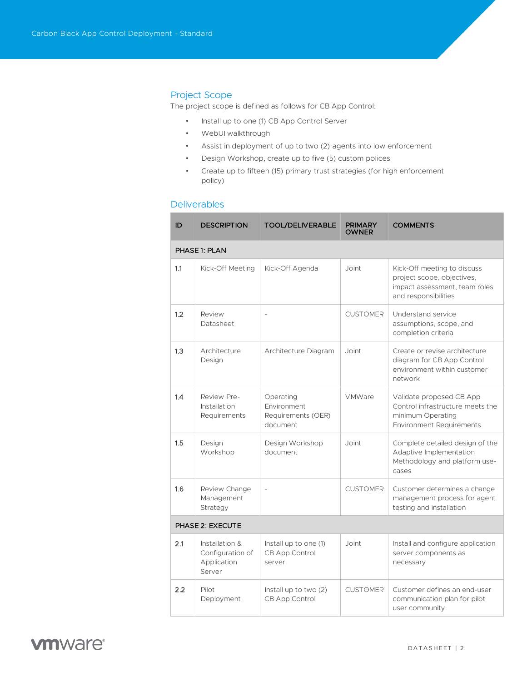## Project Scope

The project scope is defined as follows for CB App Control:

- Install up to one (1) CB App Control Server
- WebUI walkthrough
- Assist in deployment of up to two (2) agents into low enforcement
- Design Workshop, create up to five (5) custom polices
- Create up to fifteen (15) primary trust strategies (for high enforcement policy)

# Deliverables

| ID               | <b>DESCRIPTION</b>                                          | <b>TOOL/DELIVERABLE</b>                                    | <b>PRIMARY</b><br><b>OWNER</b> | <b>COMMENTS</b>                                                                                                      |  |  |  |
|------------------|-------------------------------------------------------------|------------------------------------------------------------|--------------------------------|----------------------------------------------------------------------------------------------------------------------|--|--|--|
| PHASE 1: PLAN    |                                                             |                                                            |                                |                                                                                                                      |  |  |  |
| 1.1              | Kick-Off Meeting                                            | Kick-Off Agenda                                            | Joint                          | Kick-Off meeting to discuss<br>project scope, objectives,<br>impact assessment, team roles<br>and responsibilities   |  |  |  |
| 1.2              | Review<br>Datasheet                                         | $\overline{\phantom{0}}$                                   | <b>CUSTOMER</b>                | Understand service<br>assumptions, scope, and<br>completion criteria                                                 |  |  |  |
| 1.3              | Architecture<br>Design                                      | Architecture Diagram                                       | . Joint                        | Create or revise architecture<br>diagram for CB App Control<br>environment within customer<br>network                |  |  |  |
| 1.4              | Review Pre-<br>Installation<br>Requirements                 | Operating<br>Environment<br>Requirements (OER)<br>document | VMWare                         | Validate proposed CB App<br>Control infrastructure meets the<br>minimum Operating<br><b>Environment Requirements</b> |  |  |  |
| 1.5              | Design<br>Workshop                                          | Design Workshop<br>document                                | Joint                          | Complete detailed design of the<br>Adaptive Implementation<br>Methodology and platform use-<br>cases                 |  |  |  |
| 1.6              | Review Change<br>Management<br>Strategy                     | $\overline{\phantom{a}}$                                   | <b>CUSTOMER</b>                | Customer determines a change<br>management process for agent<br>testing and installation                             |  |  |  |
| PHASE 2: EXECUTE |                                                             |                                                            |                                |                                                                                                                      |  |  |  |
| 2.1              | Installation &<br>Configuration of<br>Application<br>Server | Install up to one (1)<br><b>CB App Control</b><br>server   | Joint                          | Install and configure application<br>server components as<br>necessary                                               |  |  |  |
| 2.2              | Pilot<br>Deployment                                         | Install up to two $(2)$<br>CB App Control                  | <b>CUSTOMER</b>                | Customer defines an end-user<br>communication plan for pilot<br>user community                                       |  |  |  |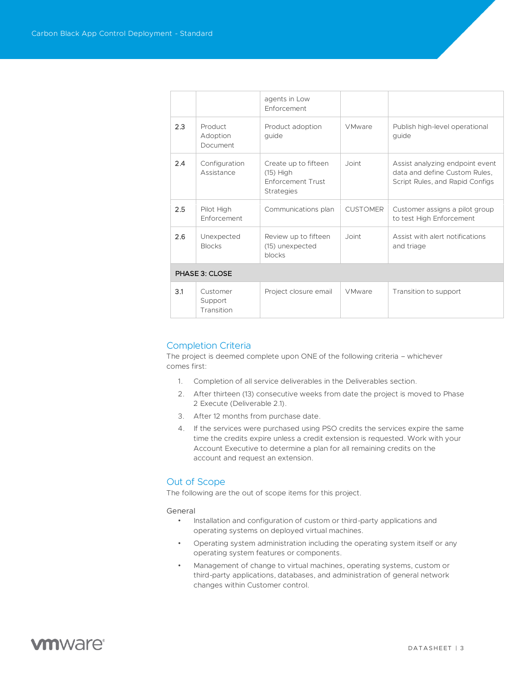|                |                                   | agents in Low<br>Enforcement                                                  |                 |                                                                                                     |  |  |  |
|----------------|-----------------------------------|-------------------------------------------------------------------------------|-----------------|-----------------------------------------------------------------------------------------------------|--|--|--|
| 2.3            | Product<br>Adoption<br>Document   | Product adoption<br>quide                                                     | <b>VMware</b>   | Publish high-level operational<br>quide                                                             |  |  |  |
| 2.4            | Configuration<br>Assistance       | Create up to fifteen<br>$(15)$ High<br>Enforcement Trust<br><b>Strategies</b> | Joint           | Assist analyzing endpoint event<br>data and define Custom Rules,<br>Script Rules, and Rapid Configs |  |  |  |
| 2.5            | Pilot High<br>Enforcement         | Communications plan                                                           | <b>CUSTOMER</b> | Customer assigns a pilot group<br>to test High Enforcement                                          |  |  |  |
| 2.6            | Unexpected<br><b>Blocks</b>       | Review up to fifteen<br>(15) unexpected<br>blocks                             | Joint           | Assist with alert notifications<br>and triage                                                       |  |  |  |
| PHASE 3: CLOSE |                                   |                                                                               |                 |                                                                                                     |  |  |  |
| 3.1            | Customer<br>Support<br>Transition | Project closure email                                                         | <b>VMware</b>   | Transition to support                                                                               |  |  |  |

### Completion Criteria

The project is deemed complete upon ONE of the following criteria – whichever comes first:

- 1. Completion of all service deliverables in the Deliverables section.
- 2. After thirteen (13) consecutive weeks from date the project is moved to Phase 2 Execute (Deliverable 2.1).
- 3. After 12 months from purchase date.
- 4. If the services were purchased using PSO credits the services expire the same time the credits expire unless a credit extension is requested. Work with your Account Executive to determine a plan for all remaining credits on the account and request an extension.

## Out of Scope

The following are the out of scope items for this project.

#### General

- Installation and configuration of custom or third-party applications and operating systems on deployed virtual machines.
- Operating system administration including the operating system itself or any operating system features or components.
- Management of change to virtual machines, operating systems, custom or third-party applications, databases, and administration of general network changes within Customer control.

# **vm**ware<sup>®</sup>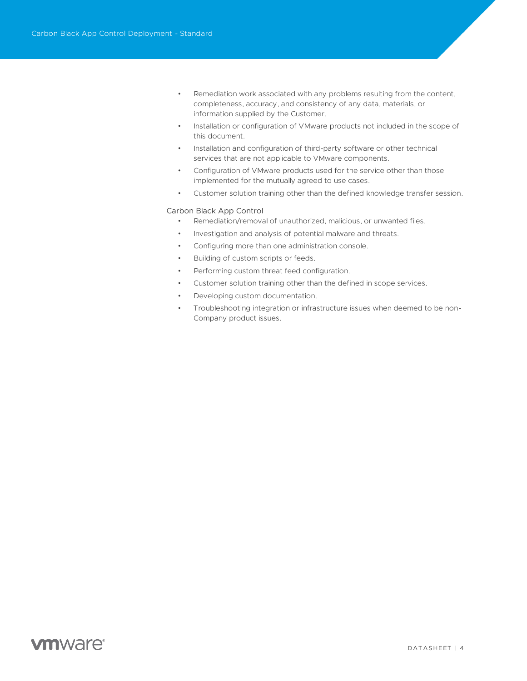- Remediation work associated with any problems resulting from the content, completeness, accuracy, and consistency of any data, materials, or information supplied by the Customer.
- Installation or configuration of VMware products not included in the scope of this document.
- Installation and configuration of third-party software or other technical services that are not applicable to VMware components.
- Configuration of VMware products used for the service other than those implemented for the mutually agreed to use cases.
- Customer solution training other than the defined knowledge transfer session.

#### Carbon Black App Control

- Remediation/removal of unauthorized, malicious, or unwanted files.
- Investigation and analysis of potential malware and threats.
- Configuring more than one administration console.
- Building of custom scripts or feeds.
- Performing custom threat feed configuration.
- Customer solution training other than the defined in scope services.
- Developing custom documentation.
- Troubleshooting integration or infrastructure issues when deemed to be non-Company product issues.

# **vm**ware<sup>®</sup>